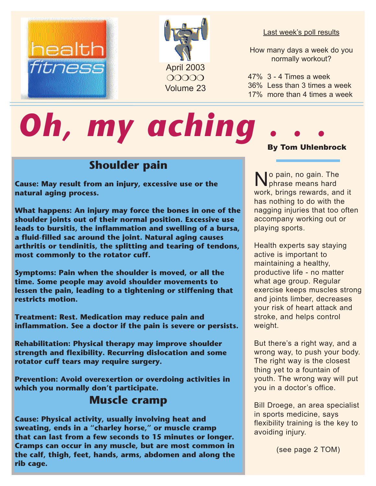



#### Last week's poll results

How many days a week do you normally workout?

47% 3 - 4 Times a week 36% Less than 3 times a week 17% more than 4 times a week

# **Oh, my aching**

# **Shoulder pain**

**Cause: May result from an injury, excessive use or the natural aging process.** 

**What happens: An injury may force the bones in one of the shoulder joints out of their normal position. Excessive use leads to bursitis, the inflammation and swelling of a bursa, a fluid-filled sac around the joint. Natural aging causes arthritis or tendinitis, the splitting and tearing of tendons, most commonly to the rotator cuff.** 

**Symptoms: Pain when the shoulder is moved, or all the time. Some people may avoid shoulder movements to lessen the pain, leading to a tightening or stiffening that restricts motion.** 

**Treatment: Rest. Medication may reduce pain and inflammation. See a doctor if the pain is severe or persists.** 

**Rehabilitation: Physical therapy may improve shoulder strength and flexibility. Recurring dislocation and some rotator cuff tears may require surgery.** 

**Prevention: Avoid overexertion or overdoing activities in which you normally don't participate.**

#### **Muscle cramp**

**Cause: Physical activity, usually involving heat and sweating, ends in a "charley horse," or muscle cramp that can last from a few seconds to 15 minutes or longer. Cramps can occur in any muscle, but are most common in the calf, thigh, feet, hands, arms, abdomen and along the rib cage.** 

#### By Tom Uhlenbrock

No pain, no gain. The phrase means hard work, brings rewards, and it has nothing to do with the nagging injuries that too often accompany working out or playing sports.

Health experts say staying active is important to maintaining a healthy, productive life - no matter what age group. Regular exercise keeps muscles strong and joints limber, decreases your risk of heart attack and stroke, and helps control weight.

But there's a right way, and a wrong way, to push your body. The right way is the closest thing yet to a fountain of youth. The wrong way will put you in a doctor's office.

Bill Droege, an area specialist in sports medicine, says flexibility training is the key to avoiding injury.

(see page 2 TOM)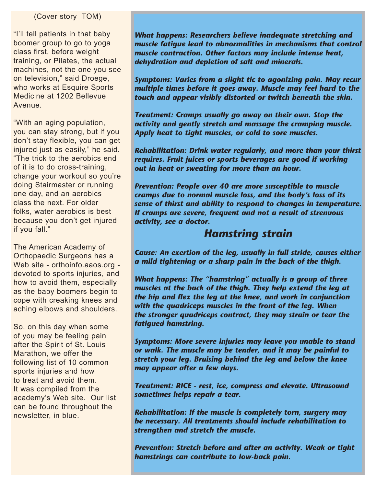#### (Cover story TOM)

"I'll tell patients in that baby boomer group to go to yoga class first, before weight training, or Pilates, the actual machines, not the one you see on television," said Droege, who works at Esquire Sports Medicine at 1202 Bellevue Avenue.

"With an aging population, you can stay strong, but if you don't stay flexible, you can get injured just as easily," he said. "The trick to the aerobics end of it is to do cross-training, change your workout so you're doing Stairmaster or running one day, and an aerobics class the next. For older folks, water aerobics is best because you don't get injured if you fall."

The American Academy of Orthopaedic Surgeons has a Web site - orthoinfo.aaos.org devoted to sports injuries, and how to avoid them, especially as the baby boomers begin to cope with creaking knees and aching elbows and shoulders.

So, on this day when some of you may be feeling pain after the Spirit of St. Louis Marathon, we offer the following list of 10 common sports injuries and how to treat and avoid them. It was compiled from the academy's Web site. Our list can be found throughout the newsletter, in blue.

*What happens: Researchers believe inadequate stretching and muscle fatigue lead to abnormalities in mechanisms that control muscle contraction. Other factors may include intense heat, dehydration and depletion of salt and minerals.* 

*Symptoms: Varies from a slight tic to agonizing pain. May recur multiple times before it goes away. Muscle may feel hard to the touch and appear visibly distorted or twitch beneath the skin.* 

*Treatment: Cramps usually go away on their own. Stop the activity and gently stretch and massage the cramping muscle. Apply heat to tight muscles, or cold to sore muscles.* 

*Rehabilitation: Drink water regularly, and more than your thirst requires. Fruit juices or sports beverages are good if working out in heat or sweating for more than an hour.* 

*Prevention: People over 40 are more susceptible to muscle cramps due to normal muscle loss, and the body's loss of its sense of thirst and ability to respond to changes in temperature. If cramps are severe, frequent and not a result of strenuous activity, see a doctor.* 

#### *Hamstring strain*

*Cause: An exertion of the leg, usually in full stride, causes either a mild tightening or a sharp pain in the back of the thigh.* 

*What happens: The "hamstring" actually is a group of three muscles at the back of the thigh. They help extend the leg at the hip and flex the leg at the knee, and work in conjunction with the quadriceps muscles in the front of the leg. When the stronger quadriceps contract, they may strain or tear the fatigued hamstring.* 

*Symptoms: More severe injuries may leave you unable to stand or walk. The muscle may be tender, and it may be painful to stretch your leg. Bruising behind the leg and below the knee may appear after a few days.* 

*Treatment: RICE - rest, ice, compress and elevate. Ultrasound sometimes helps repair a tear.* 

*Rehabilitation: If the muscle is completely torn, surgery may be necessary. All treatments should include rehabilitation to strengthen and stretch the muscle.* 

*Prevention: Stretch before and after an activity. Weak or tight hamstrings can contribute to low-back pain.*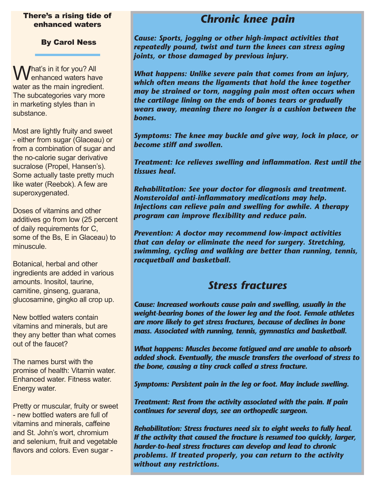#### There's a rising tide of enhanced waters

By Carol Ness

Mat's in it for you? All enhanced waters have water as the main ingredient. The subcategories vary more in marketing styles than in substance.

Most are lightly fruity and sweet - either from sugar (Glaceau) or from a combination of sugar and the no-calorie sugar derivative sucralose (Propel, Hansen's). Some actually taste pretty much like water (Reebok). A few are superoxygenated.

Doses of vitamins and other additives go from low (25 percent of daily requirements for C, some of the Bs, E in Glaceau) to minuscule.

Botanical, herbal and other ingredients are added in various amounts. Inositol, taurine, carnitine, ginseng, guarana, glucosamine, gingko all crop up.

New bottled waters contain vitamins and minerals, but are they any better than what comes out of the faucet?

The names burst with the promise of health: Vitamin water. Enhanced water. Fitness water. Energy water.

Pretty or muscular, fruity or sweet - new bottled waters are full of vitamins and minerals, caffeine and St. John's wort, chromium and selenium, fruit and vegetable flavors and colors. Even sugar -

# *Chronic knee pain*

*Cause: Sports, jogging or other high-impact activities that repeatedly pound, twist and turn the knees can stress aging joints, or those damaged by previous injury.* 

*What happens: Unlike severe pain that comes from an injury, which often means the ligaments that hold the knee together may be strained or torn, nagging pain most often occurs when the cartilage lining on the ends of bones tears or gradually wears away, meaning there no longer is a cushion between the bones.* 

*Symptoms: The knee may buckle and give way, lock in place, or become stiff and swollen.* 

*Treatment: Ice relieves swelling and inflammation. Rest until the tissues heal.* 

*Rehabilitation: See your doctor for diagnosis and treatment. Nonsteroidal anti-inflammatory medications may help. Injections can relieve pain and swelling for awhile. A therapy program can improve flexibility and reduce pain.* 

*Prevention: A doctor may recommend low-impact activities that can delay or eliminate the need for surgery. Stretching, swimming, cycling and walking are better than running, tennis, racquetball and basketball.* 

### *Stress fractures*

*Cause: Increased workouts cause pain and swelling, usually in the weight-bearing bones of the lower leg and the foot. Female athletes are more likely to get stress fractures, because of declines in bone mass. Associated with running, tennis, gymnastics and basketball.* 

*What happens: Muscles become fatigued and are unable to absorb added shock. Eventually, the muscle transfers the overload of stress to the bone, causing a tiny crack called a stress fracture.* 

*Symptoms: Persistent pain in the leg or foot. May include swelling.* 

*Treatment: Rest from the activity associated with the pain. If pain continues for several days, see an orthopedic surgeon.* 

*Rehabilitation: Stress fractures need six to eight weeks to fully heal. If the activity that caused the fracture is resumed too quickly, larger, harder-to-heal stress fractures can develop and lead to chronic problems. If treated properly, you can return to the activity without any restrictions.*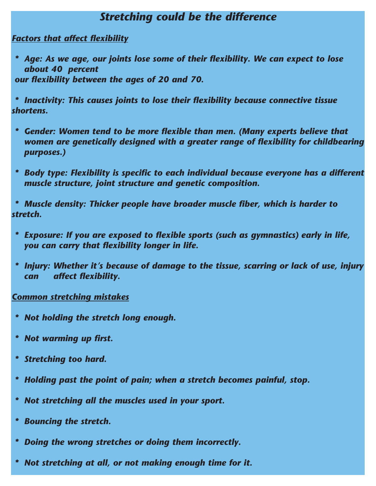### *Stretching could be the difference*

*Factors that affect flexibility*

 *\* Age: As we age, our joints lose some of their flexibility. We can expect to lose about 40 percent our flexibility between the ages of 20 and 70.* 

 *\* Inactivity: This causes joints to lose their flexibility because connective tissue shortens.* 

- *\* Gender: Women tend to be more flexible than men. (Many experts believe that women are genetically designed with a greater range of flexibility for childbearing purposes.)*
- *\* Body type: Flexibility is specific to each individual because everyone has a different muscle structure, joint structure and genetic composition.*

 *\* Muscle density: Thicker people have broader muscle fiber, which is harder to stretch.* 

- *\* Exposure: If you are exposed to flexible sports (such as gymnastics) early in life, you can carry that flexibility longer in life.*
- *\* Injury: Whether it's because of damage to the tissue, scarring or lack of use, injury can affect flexibility.*

#### *Common stretching mistakes*

- *\* Not holding the stretch long enough.*
- *\* Not warming up first.*
- *\* Stretching too hard.*
- *\* Holding past the point of pain; when a stretch becomes painful, stop.*
- *\* Not stretching all the muscles used in your sport.*
- *\* Bouncing the stretch.*
- *\* Doing the wrong stretches or doing them incorrectly.*
- *\* Not stretching at all, or not making enough time for it.*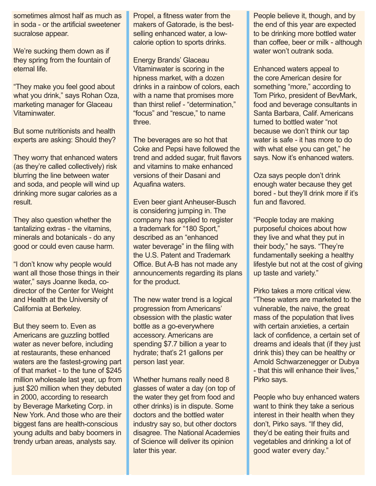sometimes almost half as much as in soda - or the artificial sweetener sucralose appear.

We're sucking them down as if they spring from the fountain of eternal life.

"They make you feel good about what you drink," says Rohan Oza, marketing manager for Glaceau Vitaminwater.

But some nutritionists and health experts are asking: Should they?

They worry that enhanced waters (as they're called collectively) risk blurring the line between water and soda, and people will wind up drinking more sugar calories as a result.

They also question whether the tantalizing extras - the vitamins, minerals and botanicals - do any good or could even cause harm.

"I don't know why people would want all those those things in their water," says Joanne Ikeda, codirector of the Center for Weight and Health at the University of California at Berkeley.

But they seem to. Even as Americans are guzzling bottled water as never before, including at restaurants, these enhanced waters are the fastest-growing part of that market - to the tune of \$245 million wholesale last year, up from just \$20 million when they debuted in 2000, according to research by Beverage Marketing Corp. in New York. And those who are their biggest fans are health-conscious young adults and baby boomers in trendy urban areas, analysts say.

Propel, a fitness water from the makers of Gatorade, is the bestselling enhanced water, a lowcalorie option to sports drinks.

Energy Brands' Glaceau Vitaminwater is scoring in the hipness market, with a dozen drinks in a rainbow of colors, each with a name that promises more than thirst relief - "determination," "focus" and "rescue," to name three.

The beverages are so hot that Coke and Pepsi have followed the trend and added sugar, fruit flavors and vitamins to make enhanced versions of their Dasani and Aquafina waters.

Even beer giant Anheuser-Busch is considering jumping in. The company has applied to register a trademark for "180 Sport," described as an "enhanced water beverage" in the filing with the U.S. Patent and Trademark Office. But A-B has not made any announcements regarding its plans for the product.

The new water trend is a logical progression from Americans' obsession with the plastic water bottle as a go-everywhere accessory. Americans are spending \$7.7 billion a year to hydrate; that's 21 gallons per person last year.

Whether humans really need 8 glasses of water a day (on top of the water they get from food and other drinks) is in dispute. Some doctors and the bottled water industry say so, but other doctors disagree. The National Academies of Science will deliver its opinion later this year.

People believe it, though, and by the end of this year are expected to be drinking more bottled water than coffee, beer or milk - although water won't outrank soda.

Enhanced waters appeal to the core American desire for something "more," according to Tom Pirko, president of BevMark, food and beverage consultants in Santa Barbara, Calif. Americans turned to bottled water "not because we don't think our tap water is safe - it has more to do with what else you can get," he says. Now it's enhanced waters.

Oza says people don't drink enough water because they get bored - but they'll drink more if it's fun and flavored.

"People today are making purposeful choices about how they live and what they put in their body," he says. "They're fundamentally seeking a healthy lifestyle but not at the cost of giving up taste and variety."

Pirko takes a more critical view. "These waters are marketed to the vulnerable, the naive, the great mass of the population that lives with certain anxieties, a certain lack of confidence, a certain set of dreams and ideals that (if they just drink this) they can be healthy or Arnold Schwarzenegger or Dubya - that this will enhance their lives," Pirko says.

People who buy enhanced waters want to think they take a serious interest in their health when they don't, Pirko says. "If they did, they'd be eating their fruits and vegetables and drinking a lot of good water every day."